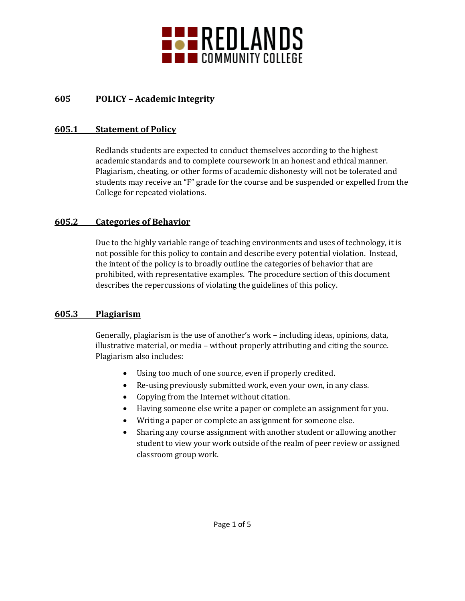

## **605 POLICY – Academic Integrity**

#### **605.1 Statement of Policy**

Redlands students are expected to conduct themselves according to the highest academic standards and to complete coursework in an honest and ethical manner. Plagiarism, cheating, or other forms of academic dishonesty will not be tolerated and students may receive an "F" grade for the course and be suspended or expelled from the College for repeated violations.

## **605.2 Categories of Behavior**

Due to the highly variable range of teaching environments and uses of technology, it is not possible for this policy to contain and describe every potential violation. Instead, the intent of the policy is to broadly outline the categories of behavior that are prohibited, with representative examples. The procedure section of this document describes the repercussions of violating the guidelines of this policy.

## **605.3 Plagiarism**

Generally, plagiarism is the use of another's work – including ideas, opinions, data, illustrative material, or media – without properly attributing and citing the source. Plagiarism also includes:

- Using too much of one source, even if properly credited.
- Re-using previously submitted work, even your own, in any class.
- Copying from the Internet without citation.
- Having someone else write a paper or complete an assignment for you.
- Writing a paper or complete an assignment for someone else.
- Sharing any course assignment with another student or allowing another student to view your work outside of the realm of peer review or assigned classroom group work.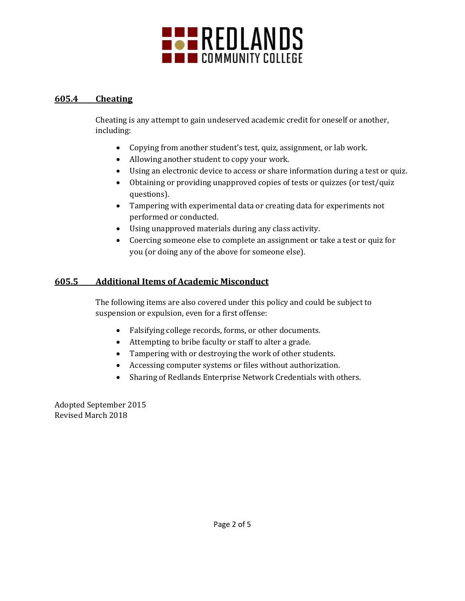

## **605.4 Cheating**

Cheating is any attempt to gain undeserved academic credit for oneself or another, including:

- Copying from another student's test, quiz, assignment, or lab work.
- Allowing another student to copy your work.
- Using an electronic device to access or share information during a test or quiz.
- Obtaining or providing unapproved copies of tests or quizzes (or test/quiz questions).
- Tampering with experimental data or creating data for experiments not performed or conducted.
- Using unapproved materials during any class activity.
- Coercing someone else to complete an assignment or take a test or quiz for you (or doing any of the above for someone else).

# **605.5 Additional Items of Academic Misconduct**

The following items are also covered under this policy and could be subject to suspension or expulsion, even for a first offense:

- Falsifying college records, forms, or other documents.
- Attempting to bribe faculty or staff to alter a grade.
- Tampering with or destroying the work of other students.
- Accessing computer systems or files without authorization.
- Sharing of Redlands Enterprise Network Credentials with others.

Adopted September 2015 Revised March 2018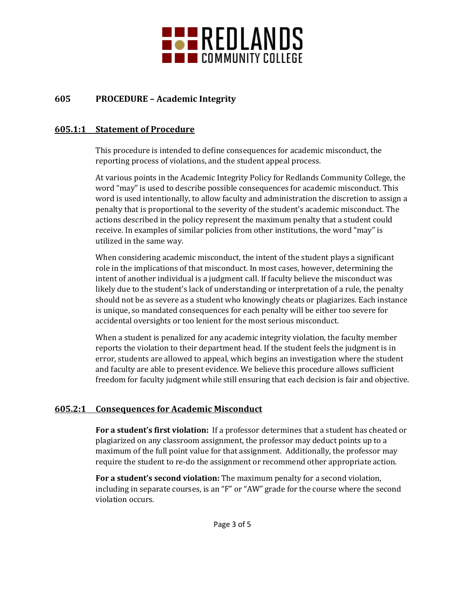

## **605 PROCEDURE – Academic Integrity**

### **605.1:1 Statement of Procedure**

This procedure is intended to define consequences for academic misconduct, the reporting process of violations, and the student appeal process.

At various points in the Academic Integrity Policy for Redlands Community College, the word "may" is used to describe possible consequences for academic misconduct. This word is used intentionally, to allow faculty and administration the discretion to assign a penalty that is proportional to the severity of the student's academic misconduct. The actions described in the policy represent the maximum penalty that a student could receive. In examples of similar policies from other institutions, the word "may" is utilized in the same way.

When considering academic misconduct, the intent of the student plays a significant role in the implications of that misconduct. In most cases, however, determining the intent of another individual is a judgment call. If faculty believe the misconduct was likely due to the student's lack of understanding or interpretation of a rule, the penalty should not be as severe as a student who knowingly cheats or plagiarizes. Each instance is unique, so mandated consequences for each penalty will be either too severe for accidental oversights or too lenient for the most serious misconduct.

When a student is penalized for any academic integrity violation, the faculty member reports the violation to their department head. If the student feels the judgment is in error, students are allowed to appeal, which begins an investigation where the student and faculty are able to present evidence. We believe this procedure allows sufficient freedom for faculty judgment while still ensuring that each decision is fair and objective.

## **605.2:1 Consequences for Academic Misconduct**

**For a student's first violation:** If a professor determines that a student has cheated or plagiarized on any classroom assignment, the professor may deduct points up to a maximum of the full point value for that assignment. Additionally, the professor may require the student to re-do the assignment or recommend other appropriate action.

**For a student's second violation:** The maximum penalty for a second violation, including in separate courses, is an "F" or "AW" grade for the course where the second violation occurs.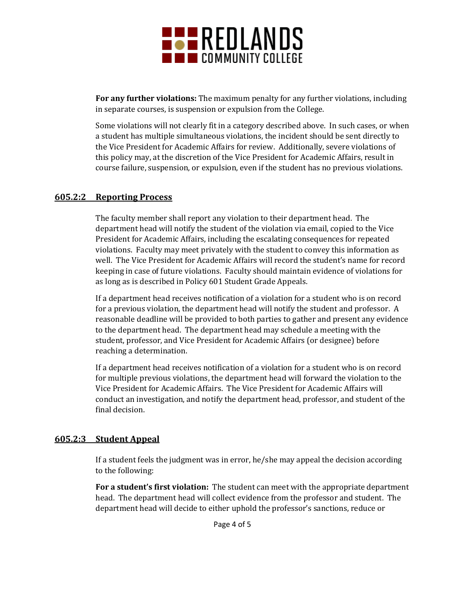

**For any further violations:** The maximum penalty for any further violations, including in separate courses, is suspension or expulsion from the College.

Some violations will not clearly fit in a category described above. In such cases, or when a student has multiple simultaneous violations, the incident should be sent directly to the Vice President for Academic Affairs for review. Additionally, severe violations of this policy may, at the discretion of the Vice President for Academic Affairs, result in course failure, suspension, or expulsion, even if the student has no previous violations.

#### **605.2:2 Reporting Process**

The faculty member shall report any violation to their department head. The department head will notify the student of the violation via email, copied to the Vice President for Academic Affairs, including the escalating consequences for repeated violations. Faculty may meet privately with the student to convey this information as well. The Vice President for Academic Affairs will record the student's name for record keeping in case of future violations. Faculty should maintain evidence of violations for as long as is described in Policy 601 Student Grade Appeals.

If a department head receives notification of a violation for a student who is on record for a previous violation, the department head will notify the student and professor. A reasonable deadline will be provided to both parties to gather and present any evidence to the department head. The department head may schedule a meeting with the student, professor, and Vice President for Academic Affairs (or designee) before reaching a determination.

If a department head receives notification of a violation for a student who is on record for multiple previous violations, the department head will forward the violation to the Vice President for Academic Affairs. The Vice President for Academic Affairs will conduct an investigation, and notify the department head, professor, and student of the final decision.

#### **605.2:3 Student Appeal**

If a student feels the judgment was in error, he/she may appeal the decision according to the following:

**For a student's first violation:** The student can meet with the appropriate department head. The department head will collect evidence from the professor and student. The department head will decide to either uphold the professor's sanctions, reduce or